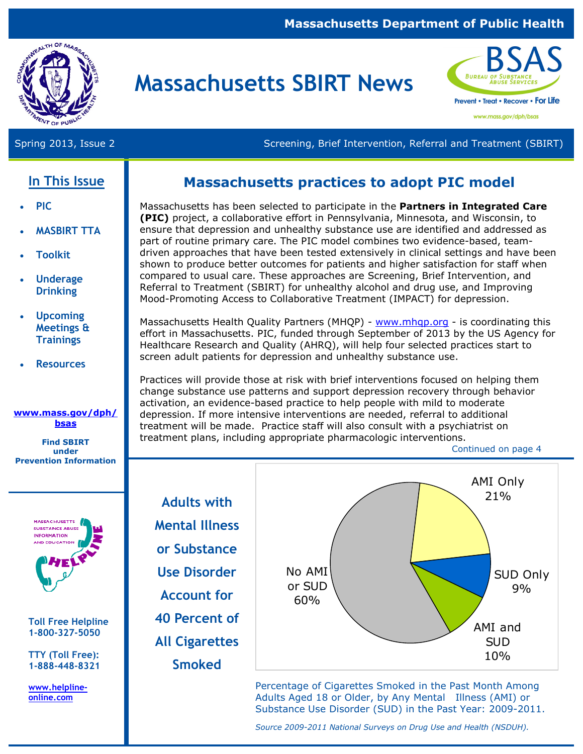#### **Massachusetts Department of Public Health**



# **Massachusetts SBIRT News**



Spring 2013, Issue 2 Screening, Brief Intervention, Referral and Treatment (SBIRT)

# **In This Issue**

- **PIC**
- **MASBIRT TTA**
- **Toolkit**
- **Underage Drinking**
- **Upcoming Meetings & Trainings**
- **Resources**

#### **www.mass.gov/dph/ bsas**

**Find SBIRT under Prevention Information** 



**Toll Free Helpline 1-800-327-5050** 

**TTY (Toll Free): 1-888-448-8321** 

**www.helplineonline.com** 

# **Massachusetts practices to adopt PIC model**

Massachusetts has been selected to participate in the **Partners in Integrated Care (PIC)** project, a collaborative effort in Pennsylvania, Minnesota, and Wisconsin, to ensure that depression and unhealthy substance use are identified and addressed as part of routine primary care. The PIC model combines two evidence-based, teamdriven approaches that have been tested extensively in clinical settings and have been shown to produce better outcomes for patients and higher satisfaction for staff when compared to usual care. These approaches are Screening, Brief Intervention, and Referral to Treatment (SBIRT) for unhealthy alcohol and drug use, and Improving Mood-Promoting Access to Collaborative Treatment (IMPACT) for depression.

Massachusetts Health Quality Partners (MHQP) - www.mhqp.org - is coordinating this effort in Massachusetts. PIC, funded through September of 2013 by the US Agency for Healthcare Research and Quality (AHRQ), will help four selected practices start to screen adult patients for depression and unhealthy substance use.

Practices will provide those at risk with brief interventions focused on helping them change substance use patterns and support depression recovery through behavior activation, an evidence-based practice to help people with mild to moderate depression. If more intensive interventions are needed, referral to additional treatment will be made. Practice staff will also consult with a psychiatrist on treatment plans, including appropriate pharmacologic interventions.

Continued on page 4

**Adults with Mental Illness or Substance Use Disorder Account for 40 Percent of All Cigarettes Smoked** 



Percentage of Cigarettes Smoked in the Past Month Among Adults Aged 18 or Older, by Any Mental Illness (AMI) or Substance Use Disorder (SUD) in the Past Year: 2009-2011.

*Source 2009-2011 National Surveys on Drug Use and Health (NSDUH).*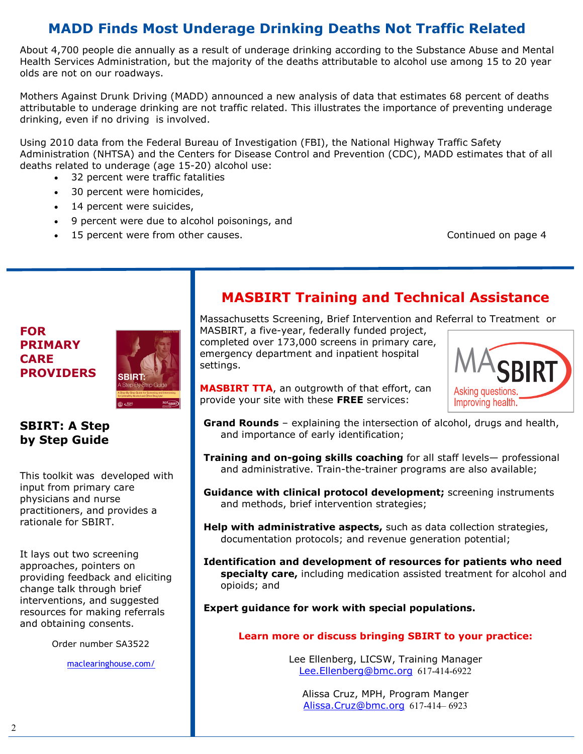# **MADD Finds Most Underage Drinking Deaths Not Traffic Related**

About 4,700 people die annually as a result of underage drinking according to the Substance Abuse and Mental Health Services Administration, but the majority of the deaths attributable to alcohol use among 15 to 20 year olds are not on our roadways.

Mothers Against Drunk Driving (MADD) announced a new analysis of data that estimates 68 percent of deaths attributable to underage drinking are not traffic related. This illustrates the importance of preventing underage drinking, even if no driving is involved.

Using 2010 data from the Federal Bureau of Investigation (FBI), the National Highway Traffic Safety Administration (NHTSA) and the Centers for Disease Control and Prevention (CDC), MADD estimates that of all deaths related to underage (age 15-20) alcohol use:

- 32 percent were traffic fatalities
- 30 percent were homicides,
- 14 percent were suicides,
- 9 percent were due to alcohol poisonings, and
- 15 percent were from other causes. Continued on page 4

### **FOR PRIMARY CARE PROVIDERS**



### **SBIRT: A Step by Step Guide**

This toolkit was developed with input from primary care physicians and nurse practitioners, and provides a rationale for SBIRT.

It lays out two screening approaches, pointers on providing feedback and eliciting change talk through brief interventions, and suggested resources for making referrals and obtaining consents.

Order number SA3522

maclearinghouse.com/

# **MASBIRT Training and Technical Assistance**

Massachusetts Screening, Brief Intervention and Referral to Treatment or

MASBIRT, a five-year, federally funded project, completed over 173,000 screens in primary care, emergency department and inpatient hospital settings.



**MASBIRT TTA**, an outgrowth of that effort, can provide your site with these **FREE** services:

- **Grand Rounds** explaining the intersection of alcohol, drugs and health, and importance of early identification;
- **Training and on-going skills coaching** for all staff levels— professional and administrative. Train-the-trainer programs are also available;
- **Guidance with clinical protocol development;** screening instruments and methods, brief intervention strategies;
- **Help with administrative aspects,** such as data collection strategies, documentation protocols; and revenue generation potential;
- **Identification and development of resources for patients who need specialty care,** including medication assisted treatment for alcohol and opioids; and

**Expert guidance for work with special populations.** 

#### **Learn more or discuss bringing SBIRT to your practice:**

Lee Ellenberg, LICSW, Training Manager Lee.Ellenberg@bmc.org 617-414-6922

Alissa Cruz, MPH, Program Manger Alissa.Cruz@bmc.org 617-414– 6923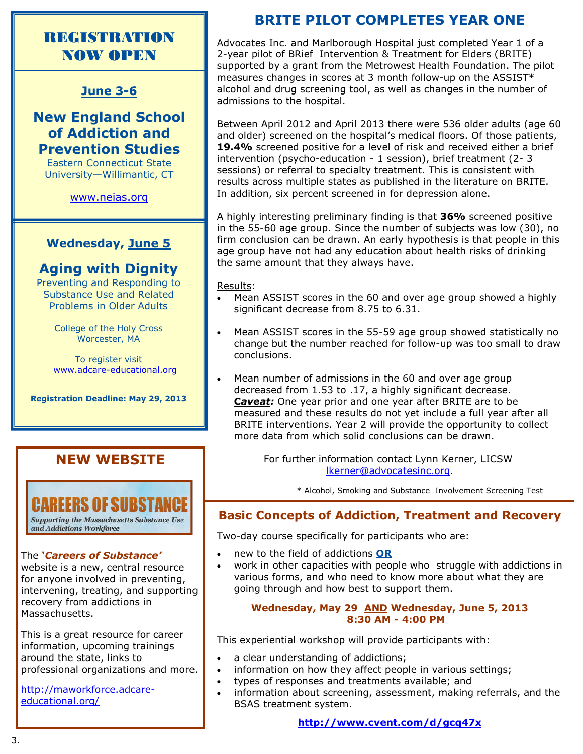# REGISTRATION NOW OPEN

#### **June 3-6**

**New England School of Addiction and Prevention Studies** 

Eastern Connecticut State University—Willimantic, CT

www.neias.org

#### **Wednesday, June 5**

## **Aging with Dignity**

Preventing and Responding to Substance Use and Related Problems in Older Adults

> College of the Holy Cross Worcester, MA

To register visit www.adcare-educational.org

**Registration Deadline: May 29, 2013** 

## **NEW WEBSITE**



and Addictions Workforce

#### The **'***Careers of Substance'*

website is a new, central resource for anyone involved in preventing, intervening, treating, and supporting recovery from addictions in Massachusetts.

This is a great resource for career information, upcoming trainings around the state, links to professional organizations and more.

http://maworkforce.adcareeducational.org/

# **BRITE PILOT COMPLETES YEAR ONE**

Advocates Inc. and Marlborough Hospital just completed Year 1 of a 2-year pilot of BRief Intervention & Treatment for Elders (BRITE) supported by a grant from the Metrowest Health Foundation. The pilot measures changes in scores at 3 month follow-up on the ASSIST\* alcohol and drug screening tool, as well as changes in the number of admissions to the hospital.

Between April 2012 and April 2013 there were 536 older adults (age 60 and older) screened on the hospital's medical floors. Of those patients, **19.4%** screened positive for a level of risk and received either a brief intervention (psycho-education - 1 session), brief treatment (2- 3 sessions) or referral to specialty treatment. This is consistent with results across multiple states as published in the literature on BRITE. In addition, six percent screened in for depression alone.

A highly interesting preliminary finding is that **36%** screened positive in the 55-60 age group. Since the number of subjects was low (30), no firm conclusion can be drawn. An early hypothesis is that people in this age group have not had any education about health risks of drinking the same amount that they always have.

Results:

- Mean ASSIST scores in the 60 and over age group showed a highly significant decrease from 8.75 to 6.31.
- Mean ASSIST scores in the 55-59 age group showed statistically no change but the number reached for follow-up was too small to draw conclusions.
- Mean number of admissions in the 60 and over age group decreased from 1.53 to .17, a highly significant decrease. **Caveat:** One year prior and one year after BRITE are to be measured and these results do not yet include a full year after all BRITE interventions. Year 2 will provide the opportunity to collect more data from which solid conclusions can be drawn.

For further information contact Lynn Kerner, LICSW lkerner@advocatesinc.org.

\* Alcohol, Smoking and Substance Involvement Screening Test

### **Basic Concepts of Addiction, Treatment and Recovery**

Two-day course specifically for participants who are:

- new to the field of addictions **OR**
- work in other capacities with people who struggle with addictions in various forms, and who need to know more about what they are going through and how best to support them.

#### **Wednesday, May 29 AND Wednesday, June 5, 2013 8:30 AM - 4:00 PM**

This experiential workshop will provide participants with:

- a clear understanding of addictions;
- information on how they affect people in various settings;
- types of responses and treatments available; and
- information about screening, assessment, making referrals, and the BSAS treatment system.

**http://www.cvent.com/d/gcq47x**